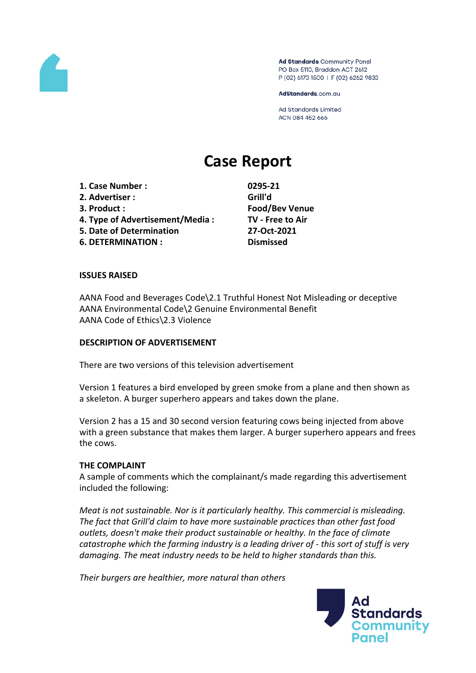

Ad Standards Community Panel PO Box 5110, Braddon ACT 2612 P (02) 6173 1500 | F (02) 6262 9833

AdStandards.com.au

**Ad Standards Limited** ACN 084 452 666

# **Case Report**

**1. Case Number : 0295-21 2. Advertiser : Grill'd 3. Product : Food/Bev Venue 4. Type of Advertisement/Media : TV - Free to Air 5. Date of Determination 27-Oct-2021 6. DETERMINATION : Dismissed**

#### **ISSUES RAISED**

AANA Food and Beverages Code\2.1 Truthful Honest Not Misleading or deceptive AANA Environmental Code\2 Genuine Environmental Benefit AANA Code of Ethics\2.3 Violence

#### **DESCRIPTION OF ADVERTISEMENT**

There are two versions of this television advertisement

Version 1 features a bird enveloped by green smoke from a plane and then shown as a skeleton. A burger superhero appears and takes down the plane.

Version 2 has a 15 and 30 second version featuring cows being injected from above with a green substance that makes them larger. A burger superhero appears and frees the cows.

#### **THE COMPLAINT**

A sample of comments which the complainant/s made regarding this advertisement included the following:

*Meat is not sustainable. Nor is it particularly healthy. This commercial is misleading. The fact that Grill'd claim to have more sustainable practices than other fast food outlets, doesn't make their product sustainable or healthy. In the face of climate catastrophe which the farming industry is a leading driver of - this sort of stuff is very damaging. The meat industry needs to be held to higher standards than this.*

*Their burgers are healthier, more natural than others*

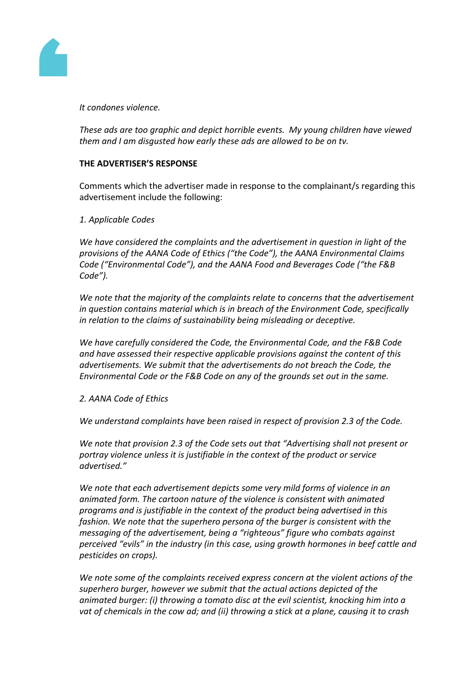

*It condones violence.*

*These ads are too graphic and depict horrible events. My young children have viewed them and I am disgusted how early these ads are allowed to be on tv.*

# **THE ADVERTISER'S RESPONSE**

Comments which the advertiser made in response to the complainant/s regarding this advertisement include the following:

# *1. Applicable Codes*

*We have considered the complaints and the advertisement in question in light of the provisions of the AANA Code of Ethics ("the Code"), the AANA Environmental Claims Code ("Environmental Code"), and the AANA Food and Beverages Code ("the F&B Code").*

*We note that the majority of the complaints relate to concerns that the advertisement in question contains material which is in breach of the Environment Code, specifically in relation to the claims of sustainability being misleading or deceptive.*

*We have carefully considered the Code, the Environmental Code, and the F&B Code and have assessed their respective applicable provisions against the content of this advertisements. We submit that the advertisements do not breach the Code, the Environmental Code or the F&B Code on any of the grounds set out in the same.*

# *2. AANA Code of Ethics*

*We understand complaints have been raised in respect of provision 2.3 of the Code.*

*We note that provision 2.3 of the Code sets out that "Advertising shall not present or portray violence unless it is justifiable in the context of the product or service advertised."*

*We note that each advertisement depicts some very mild forms of violence in an animated form. The cartoon nature of the violence is consistent with animated programs and is justifiable in the context of the product being advertised in this fashion. We note that the superhero persona of the burger is consistent with the messaging of the advertisement, being a "righteous" figure who combats against perceived "evils" in the industry (in this case, using growth hormones in beef cattle and pesticides on crops).* 

*We note some of the complaints received express concern at the violent actions of the superhero burger, however we submit that the actual actions depicted of the animated burger: (i) throwing a tomato disc at the evil scientist, knocking him into a vat of chemicals in the cow ad; and (ii) throwing a stick at a plane, causing it to crash*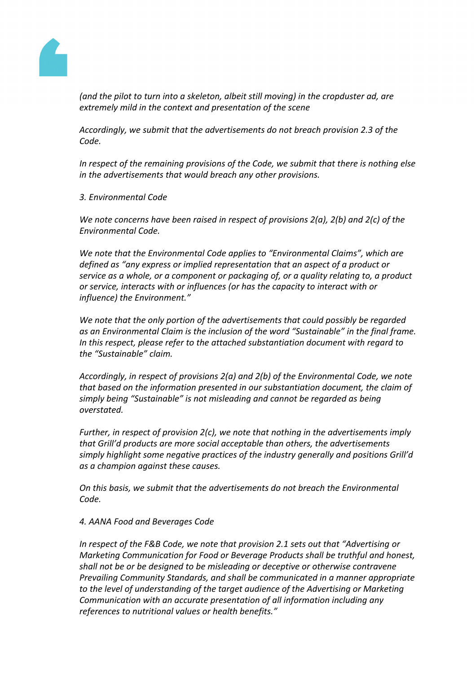

*(and the pilot to turn into a skeleton, albeit still moving) in the cropduster ad, are extremely mild in the context and presentation of the scene*

*Accordingly, we submit that the advertisements do not breach provision 2.3 of the Code.*

*In respect of the remaining provisions of the Code, we submit that there is nothing else in the advertisements that would breach any other provisions.*

*3. Environmental Code*

*We note concerns have been raised in respect of provisions 2(a), 2(b) and 2(c) of the Environmental Code.*

*We note that the Environmental Code applies to "Environmental Claims", which are defined as "any express or implied representation that an aspect of a product or service as a whole, or a component or packaging of, or a quality relating to, a product or service, interacts with or influences (or has the capacity to interact with or influence) the Environment."*

*We note that the only portion of the advertisements that could possibly be regarded as an Environmental Claim is the inclusion of the word "Sustainable" in the final frame. In this respect, please refer to the attached substantiation document with regard to the "Sustainable" claim.*

*Accordingly, in respect of provisions 2(a) and 2(b) of the Environmental Code, we note that based on the information presented in our substantiation document, the claim of simply being "Sustainable" is not misleading and cannot be regarded as being overstated.*

*Further, in respect of provision 2(c), we note that nothing in the advertisements imply that Grill'd products are more social acceptable than others, the advertisements simply highlight some negative practices of the industry generally and positions Grill'd as a champion against these causes.*

*On this basis, we submit that the advertisements do not breach the Environmental Code.*

# *4. AANA Food and Beverages Code*

*In respect of the F&B Code, we note that provision 2.1 sets out that "Advertising or Marketing Communication for Food or Beverage Products shall be truthful and honest, shall not be or be designed to be misleading or deceptive or otherwise contravene Prevailing Community Standards, and shall be communicated in a manner appropriate to the level of understanding of the target audience of the Advertising or Marketing Communication with an accurate presentation of all information including any references to nutritional values or health benefits."*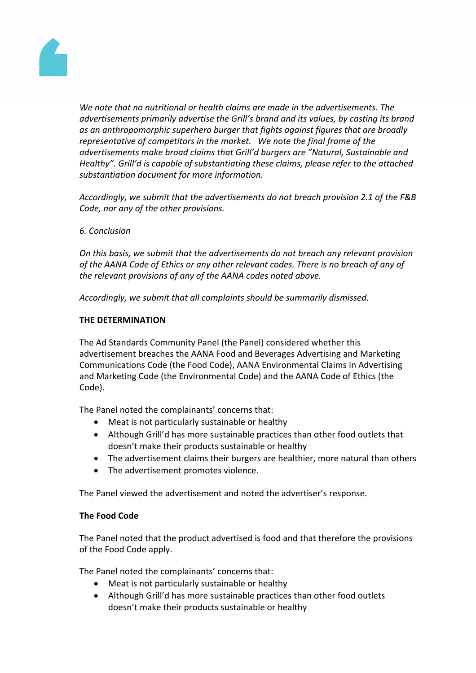

*We note that no nutritional or health claims are made in the advertisements. The advertisements primarily advertise the Grill's brand and its values, by casting its brand as an anthropomorphic superhero burger that fights against figures that are broadly representative of competitors in the market. We note the final frame of the advertisements make broad claims that Grill'd burgers are "Natural, Sustainable and Healthy". Grill'd is capable of substantiating these claims, please refer to the attached substantiation document for more information.*

*Accordingly, we submit that the advertisements do not breach provision 2.1 of the F&B Code, nor any of the other provisions.*

*6. Conclusion*

*On this basis, we submit that the advertisements do not breach any relevant provision of the AANA Code of Ethics or any other relevant codes. There is no breach of any of the relevant provisions of any of the AANA codes noted above.*

*Accordingly, we submit that all complaints should be summarily dismissed.*

# **THE DETERMINATION**

The Ad Standards Community Panel (the Panel) considered whether this advertisement breaches the AANA Food and Beverages Advertising and Marketing Communications Code (the Food Code), AANA Environmental Claims in Advertising and Marketing Code (the Environmental Code) and the AANA Code of Ethics (the Code).

The Panel noted the complainants' concerns that:

- Meat is not particularly sustainable or healthy
- Although Grill'd has more sustainable practices than other food outlets that doesn't make their products sustainable or healthy
- The advertisement claims their burgers are healthier, more natural than others
- The advertisement promotes violence.

The Panel viewed the advertisement and noted the advertiser's response.

# **The Food Code**

The Panel noted that the product advertised is food and that therefore the provisions of the Food Code apply.

The Panel noted the complainants' concerns that:

- Meat is not particularly sustainable or healthy
- Although Grill'd has more sustainable practices than other food outlets doesn't make their products sustainable or healthy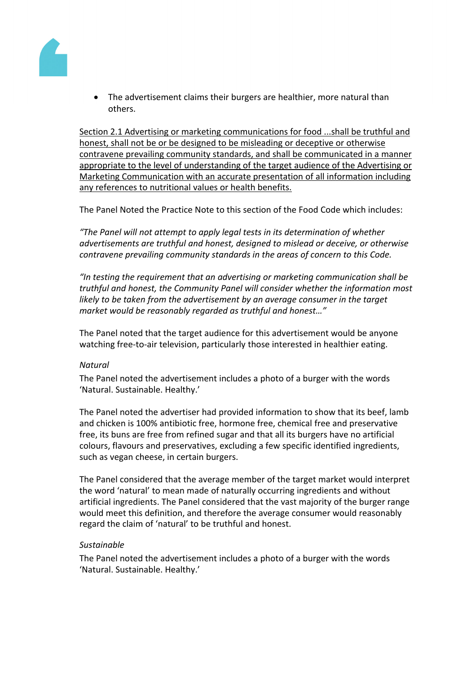

 The advertisement claims their burgers are healthier, more natural than others.

Section 2.1 Advertising or marketing communications for food ...shall be truthful and honest, shall not be or be designed to be misleading or deceptive or otherwise contravene prevailing community standards, and shall be communicated in a manner appropriate to the level of understanding of the target audience of the Advertising or Marketing Communication with an accurate presentation of all information including any references to nutritional values or health benefits.

The Panel Noted the Practice Note to this section of the Food Code which includes:

*"The Panel will not attempt to apply legal tests in its determination of whether advertisements are truthful and honest, designed to mislead or deceive, or otherwise contravene prevailing community standards in the areas of concern to this Code.*

*"In testing the requirement that an advertising or marketing communication shall be truthful and honest, the Community Panel will consider whether the information most likely to be taken from the advertisement by an average consumer in the target market would be reasonably regarded as truthful and honest…"*

The Panel noted that the target audience for this advertisement would be anyone watching free-to-air television, particularly those interested in healthier eating.

# *Natural*

The Panel noted the advertisement includes a photo of a burger with the words 'Natural. Sustainable. Healthy.'

The Panel noted the advertiser had provided information to show that its beef, lamb and chicken is 100% antibiotic free, hormone free, chemical free and preservative free, its buns are free from refined sugar and that all its burgers have no artificial colours, flavours and preservatives, excluding a few specific identified ingredients, such as vegan cheese, in certain burgers.

The Panel considered that the average member of the target market would interpret the word 'natural' to mean made of naturally occurring ingredients and without artificial ingredients. The Panel considered that the vast majority of the burger range would meet this definition, and therefore the average consumer would reasonably regard the claim of 'natural' to be truthful and honest.

# *Sustainable*

The Panel noted the advertisement includes a photo of a burger with the words 'Natural. Sustainable. Healthy.'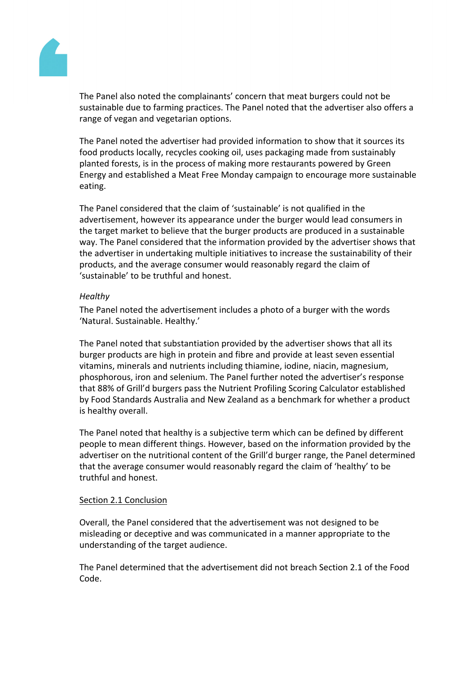

The Panel also noted the complainants' concern that meat burgers could not be sustainable due to farming practices. The Panel noted that the advertiser also offers a range of vegan and vegetarian options.

The Panel noted the advertiser had provided information to show that it sources its food products locally, recycles cooking oil, uses packaging made from sustainably planted forests, is in the process of making more restaurants powered by Green Energy and established a Meat Free Monday campaign to encourage more sustainable eating.

The Panel considered that the claim of 'sustainable' is not qualified in the advertisement, however its appearance under the burger would lead consumers in the target market to believe that the burger products are produced in a sustainable way. The Panel considered that the information provided by the advertiser shows that the advertiser in undertaking multiple initiatives to increase the sustainability of their products, and the average consumer would reasonably regard the claim of 'sustainable' to be truthful and honest.

# *Healthy*

The Panel noted the advertisement includes a photo of a burger with the words 'Natural. Sustainable. Healthy.'

The Panel noted that substantiation provided by the advertiser shows that all its burger products are high in protein and fibre and provide at least seven essential vitamins, minerals and nutrients including thiamine, iodine, niacin, magnesium, phosphorous, iron and selenium. The Panel further noted the advertiser's response that 88% of Grill'd burgers pass the Nutrient Profiling Scoring Calculator established by Food Standards Australia and New Zealand as a benchmark for whether a product is healthy overall.

The Panel noted that healthy is a subjective term which can be defined by different people to mean different things. However, based on the information provided by the advertiser on the nutritional content of the Grill'd burger range, the Panel determined that the average consumer would reasonably regard the claim of 'healthy' to be truthful and honest.

#### Section 2.1 Conclusion

Overall, the Panel considered that the advertisement was not designed to be misleading or deceptive and was communicated in a manner appropriate to the understanding of the target audience.

The Panel determined that the advertisement did not breach Section 2.1 of the Food Code.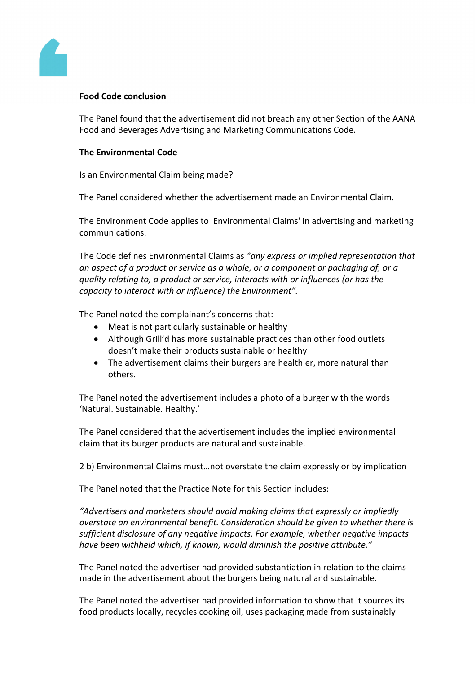

# **Food Code conclusion**

The Panel found that the advertisement did not breach any other Section of the AANA Food and Beverages Advertising and Marketing Communications Code.

# **The Environmental Code**

# Is an Environmental Claim being made?

The Panel considered whether the advertisement made an Environmental Claim.

The Environment Code applies to 'Environmental Claims' in advertising and marketing communications.

The Code defines Environmental Claims as *"any express or implied representation that an aspect of a product or service as a whole, or a component or packaging of, or a quality relating to, a product or service, interacts with or influences (or has the capacity to interact with or influence) the Environment".*

The Panel noted the complainant's concerns that:

- Meat is not particularly sustainable or healthy
- Although Grill'd has more sustainable practices than other food outlets doesn't make their products sustainable or healthy
- The advertisement claims their burgers are healthier, more natural than others.

The Panel noted the advertisement includes a photo of a burger with the words 'Natural. Sustainable. Healthy.'

The Panel considered that the advertisement includes the implied environmental claim that its burger products are natural and sustainable.

# 2 b) Environmental Claims must…not overstate the claim expressly or by implication

The Panel noted that the Practice Note for this Section includes:

*"Advertisers and marketers should avoid making claims that expressly or impliedly overstate an environmental benefit. Consideration should be given to whether there is sufficient disclosure of any negative impacts. For example, whether negative impacts have been withheld which, if known, would diminish the positive attribute."*

The Panel noted the advertiser had provided substantiation in relation to the claims made in the advertisement about the burgers being natural and sustainable.

The Panel noted the advertiser had provided information to show that it sources its food products locally, recycles cooking oil, uses packaging made from sustainably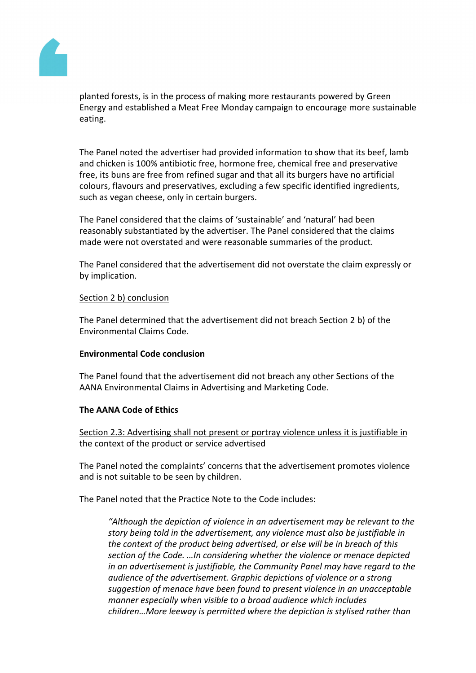

planted forests, is in the process of making more restaurants powered by Green Energy and established a Meat Free Monday campaign to encourage more sustainable eating.

The Panel noted the advertiser had provided information to show that its beef, lamb and chicken is 100% antibiotic free, hormone free, chemical free and preservative free, its buns are free from refined sugar and that all its burgers have no artificial colours, flavours and preservatives, excluding a few specific identified ingredients, such as vegan cheese, only in certain burgers.

The Panel considered that the claims of 'sustainable' and 'natural' had been reasonably substantiated by the advertiser. The Panel considered that the claims made were not overstated and were reasonable summaries of the product.

The Panel considered that the advertisement did not overstate the claim expressly or by implication.

# Section 2 b) conclusion

The Panel determined that the advertisement did not breach Section 2 b) of the Environmental Claims Code.

# **Environmental Code conclusion**

The Panel found that the advertisement did not breach any other Sections of the AANA Environmental Claims in Advertising and Marketing Code.

# **The AANA Code of Ethics**

Section 2.3: Advertising shall not present or portray violence unless it is justifiable in the context of the product or service advertised

The Panel noted the complaints' concerns that the advertisement promotes violence and is not suitable to be seen by children.

The Panel noted that the Practice Note to the Code includes:

*"Although the depiction of violence in an advertisement may be relevant to the story being told in the advertisement, any violence must also be justifiable in the context of the product being advertised, or else will be in breach of this section of the Code. …In considering whether the violence or menace depicted in an advertisement is justifiable, the Community Panel may have regard to the audience of the advertisement. Graphic depictions of violence or a strong suggestion of menace have been found to present violence in an unacceptable manner especially when visible to a broad audience which includes children…More leeway is permitted where the depiction is stylised rather than*